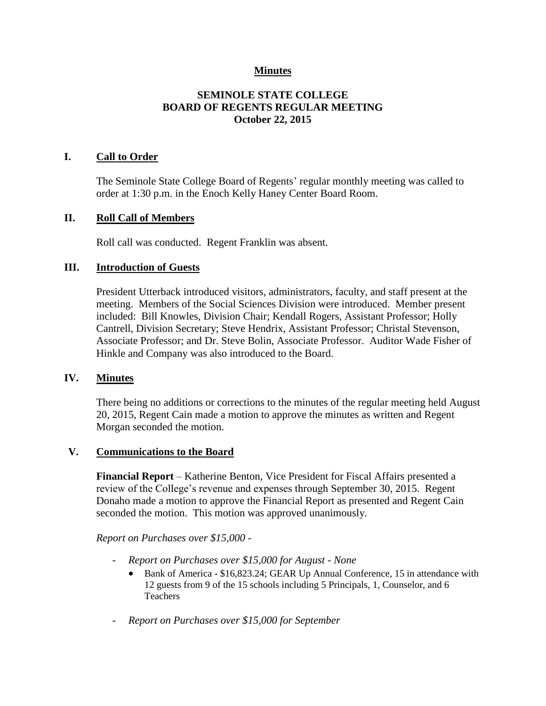# **Minutes**

# **SEMINOLE STATE COLLEGE BOARD OF REGENTS REGULAR MEETING October 22, 2015**

### **I. Call to Order**

The Seminole State College Board of Regents' regular monthly meeting was called to order at 1:30 p.m. in the Enoch Kelly Haney Center Board Room.

### **II. Roll Call of Members**

Roll call was conducted. Regent Franklin was absent.

### **III. Introduction of Guests**

President Utterback introduced visitors, administrators, faculty, and staff present at the meeting. Members of the Social Sciences Division were introduced. Member present included: Bill Knowles, Division Chair; Kendall Rogers, Assistant Professor; Holly Cantrell, Division Secretary; Steve Hendrix, Assistant Professor; Christal Stevenson, Associate Professor; and Dr. Steve Bolin, Associate Professor. Auditor Wade Fisher of Hinkle and Company was also introduced to the Board.

### **IV. Minutes**

There being no additions or corrections to the minutes of the regular meeting held August 20, 2015, Regent Cain made a motion to approve the minutes as written and Regent Morgan seconded the motion.

#### **V. Communications to the Board**

**Financial Report** – Katherine Benton, Vice President for Fiscal Affairs presented a review of the College's revenue and expenses through September 30, 2015. Regent Donaho made a motion to approve the Financial Report as presented and Regent Cain seconded the motion. This motion was approved unanimously.

#### *Report on Purchases over \$15,000 -*

- *Report on Purchases over \$15,000 for August - None*
	- Bank of America \$16,823.24; GEAR Up Annual Conference, 15 in attendance with 12 guests from 9 of the 15 schools including 5 Principals, 1, Counselor, and 6 Teachers
- *Report on Purchases over \$15,000 for September*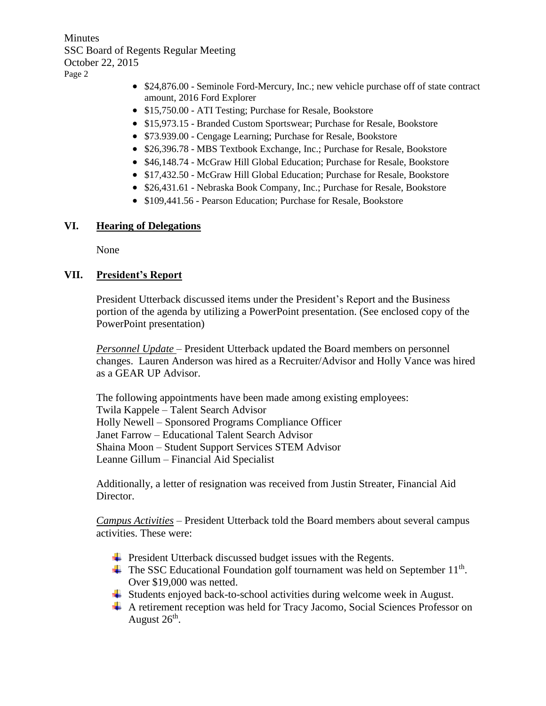**Minutes** SSC Board of Regents Regular Meeting October 22, 2015 Page 2

- \$24,876.00 Seminole Ford-Mercury, Inc.; new vehicle purchase off of state contract amount, 2016 Ford Explorer
- \$15,750.00 ATI Testing; Purchase for Resale, Bookstore
- \$15,973.15 Branded Custom Sportswear; Purchase for Resale, Bookstore
- \$73.939.00 Cengage Learning; Purchase for Resale, Bookstore
- \$26,396.78 MBS Textbook Exchange, Inc.; Purchase for Resale, Bookstore
- \$46,148.74 McGraw Hill Global Education; Purchase for Resale, Bookstore
- \$17,432.50 McGraw Hill Global Education; Purchase for Resale, Bookstore
- \$26,431.61 Nebraska Book Company, Inc.; Purchase for Resale, Bookstore
- \$109,441.56 Pearson Education; Purchase for Resale, Bookstore

# **VI. Hearing of Delegations**

None

# **VII. President's Report**

President Utterback discussed items under the President's Report and the Business portion of the agenda by utilizing a PowerPoint presentation. (See enclosed copy of the PowerPoint presentation)

*Personnel Update* – President Utterback updated the Board members on personnel changes. Lauren Anderson was hired as a Recruiter/Advisor and Holly Vance was hired as a GEAR UP Advisor.

The following appointments have been made among existing employees: Twila Kappele – Talent Search Advisor Holly Newell – Sponsored Programs Compliance Officer Janet Farrow – Educational Talent Search Advisor Shaina Moon – Student Support Services STEM Advisor Leanne Gillum – Financial Aid Specialist

Additionally, a letter of resignation was received from Justin Streater, Financial Aid Director.

*Campus Activities* – President Utterback told the Board members about several campus activities. These were:

- $\overline{\phantom{a}}$  President Utterback discussed budget issues with the Regents.
- The SSC Educational Foundation golf tournament was held on September 11<sup>th</sup>. Over \$19,000 was netted.
- ↓ Students enjoyed back-to-school activities during welcome week in August.
- A retirement reception was held for Tracy Jacomo, Social Sciences Professor on August  $26<sup>th</sup>$ .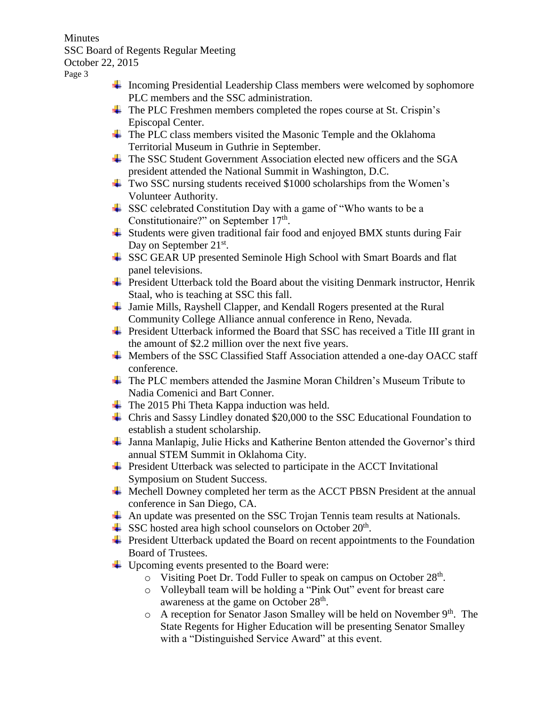**Minutes** SSC Board of Regents Regular Meeting October 22, 2015

Page 3

- $\ddot{\bullet}$  Incoming Presidential Leadership Class members were welcomed by sophomore PLC members and the SSC administration.
- $\overline{\phantom{a}}$  The PLC Freshmen members completed the ropes course at St. Crispin's Episcopal Center.
- $\overline{\phantom{a} \bullet}$  The PLC class members visited the Masonic Temple and the Oklahoma Territorial Museum in Guthrie in September.
- $\overline{\text{+}}$  The SSC Student Government Association elected new officers and the SGA president attended the National Summit in Washington, D.C.
- Two SSC nursing students received \$1000 scholarships from the Women's Volunteer Authority.
- SSC celebrated Constitution Day with a game of "Who wants to be a Constitutionaire?" on September 17<sup>th</sup>.
- $\overline{\phantom{a}}$  Students were given traditional fair food and enjoyed BMX stunts during Fair Day on September 21<sup>st</sup>.
- SSC GEAR UP presented Seminole High School with Smart Boards and flat panel televisions.
- $\ddot{\phantom{1}}$  President Utterback told the Board about the visiting Denmark instructor, Henrik Staal, who is teaching at SSC this fall.
- ↓ Jamie Mills, Rayshell Clapper, and Kendall Rogers presented at the Rural Community College Alliance annual conference in Reno, Nevada.
- $\overline{\phantom{a}}$  President Utterback informed the Board that SSC has received a Title III grant in the amount of \$2.2 million over the next five years.
- ↓ Members of the SSC Classified Staff Association attended a one-day OACC staff conference.
- The PLC members attended the Jasmine Moran Children's Museum Tribute to Nadia Comenici and Bart Conner.
- $\ddot{\bullet}$  The 2015 Phi Theta Kappa induction was held.
- Chris and Sassy Lindley donated \$20,000 to the SSC Educational Foundation to establish a student scholarship.
- Janna Manlapig, Julie Hicks and Katherine Benton attended the Governor's third annual STEM Summit in Oklahoma City.
- $\overline{\text{F}}$  President Utterback was selected to participate in the ACCT Invitational Symposium on Student Success.
- $\overline{\text{4}}$  Mechell Downey completed her term as the ACCT PBSN President at the annual conference in San Diego, CA.
- $\overline{\text{4}}$  An update was presented on the SSC Trojan Tennis team results at Nationals.
- SSC hosted area high school counselors on October  $20<sup>th</sup>$ .
- $\overline{\phantom{a}}$  President Utterback updated the Board on recent appointments to the Foundation Board of Trustees.
- $\downarrow$  Upcoming events presented to the Board were:
	- o Visiting Poet Dr. Todd Fuller to speak on campus on October 28<sup>th</sup>.
	- o Volleyball team will be holding a "Pink Out" event for breast care awareness at the game on October 28<sup>th</sup>.
	- $\circ$  A reception for Senator Jason Smalley will be held on November 9<sup>th</sup>. The State Regents for Higher Education will be presenting Senator Smalley with a "Distinguished Service Award" at this event.